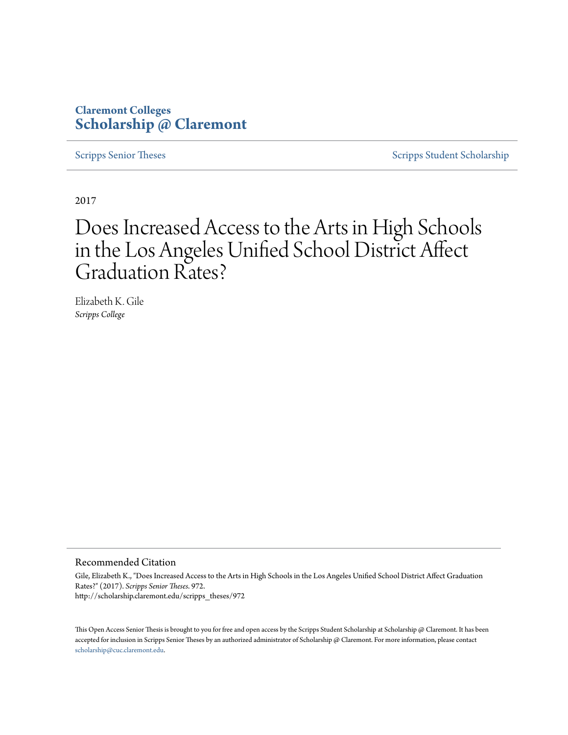### **Claremont Colleges [Scholarship @ Claremont](http://scholarship.claremont.edu)**

[Scripps Senior Theses](http://scholarship.claremont.edu/scripps_theses) [Scripps Student Scholarship](http://scholarship.claremont.edu/scripps_student)

2017

# Does Increased Access to the Arts in High Schools in the Los Angeles Unified School District Affect Graduation Rates?

Elizabeth K. Gile *Scripps College*

#### Recommended Citation

Gile, Elizabeth K., "Does Increased Access to the Arts in High Schools in the Los Angeles Unified School District Affect Graduation Rates?" (2017). *Scripps Senior Theses*. 972. http://scholarship.claremont.edu/scripps\_theses/972

This Open Access Senior Thesis is brought to you for free and open access by the Scripps Student Scholarship at Scholarship @ Claremont. It has been accepted for inclusion in Scripps Senior Theses by an authorized administrator of Scholarship @ Claremont. For more information, please contact [scholarship@cuc.claremont.edu.](mailto:scholarship@cuc.claremont.edu)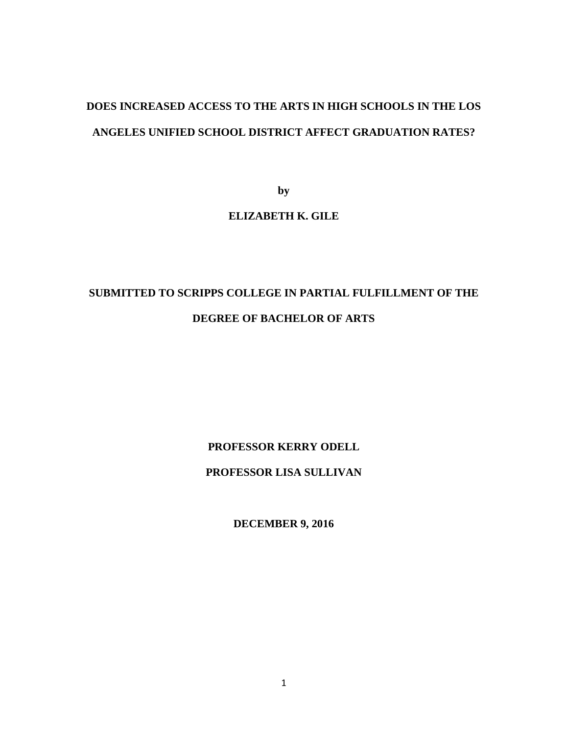## **DOES INCREASED ACCESS TO THE ARTS IN HIGH SCHOOLS IN THE LOS ANGELES UNIFIED SCHOOL DISTRICT AFFECT GRADUATION RATES?**

**by**

### **ELIZABETH K. GILE**

## **SUBMITTED TO SCRIPPS COLLEGE IN PARTIAL FULFILLMENT OF THE DEGREE OF BACHELOR OF ARTS**

**PROFESSOR KERRY ODELL**

### **PROFESSOR LISA SULLIVAN**

**DECEMBER 9, 2016**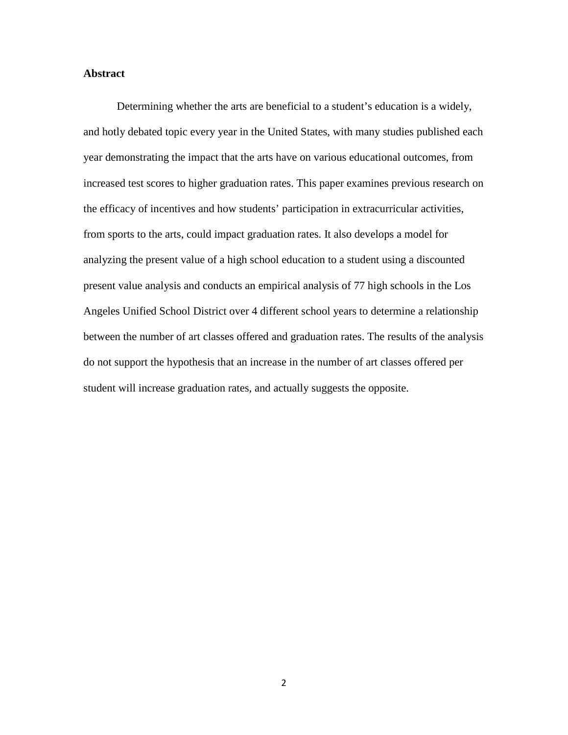#### **Abstract**

Determining whether the arts are beneficial to a student's education is a widely, and hotly debated topic every year in the United States, with many studies published each year demonstrating the impact that the arts have on various educational outcomes, from increased test scores to higher graduation rates. This paper examines previous research on the efficacy of incentives and how students' participation in extracurricular activities, from sports to the arts, could impact graduation rates. It also develops a model for analyzing the present value of a high school education to a student using a discounted present value analysis and conducts an empirical analysis of 77 high schools in the Los Angeles Unified School District over 4 different school years to determine a relationship between the number of art classes offered and graduation rates. The results of the analysis do not support the hypothesis that an increase in the number of art classes offered per student will increase graduation rates, and actually suggests the opposite.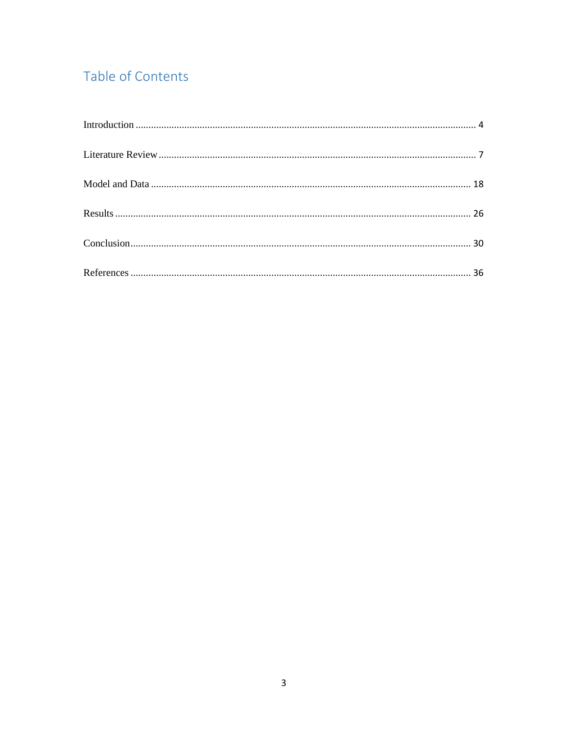## Table of Contents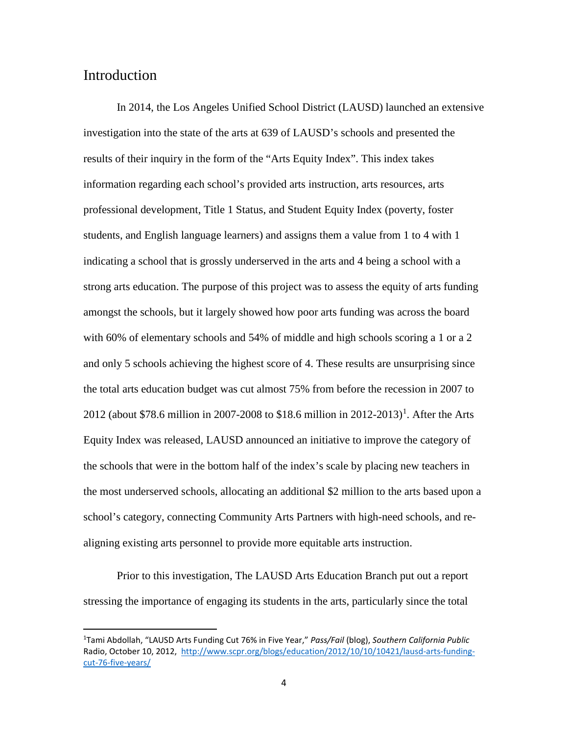### <span id="page-4-0"></span>Introduction

In 2014, the Los Angeles Unified School District (LAUSD) launched an extensive investigation into the state of the arts at 639 of LAUSD's schools and presented the results of their inquiry in the form of the "Arts Equity Index". This index takes information regarding each school's provided arts instruction, arts resources, arts professional development, Title 1 Status, and Student Equity Index (poverty, foster students, and English language learners) and assigns them a value from 1 to 4 with 1 indicating a school that is grossly underserved in the arts and 4 being a school with a strong arts education. The purpose of this project was to assess the equity of arts funding amongst the schools, but it largely showed how poor arts funding was across the board with 60% of elementary schools and 54% of middle and high schools scoring a 1 or a 2 and only 5 schools achieving the highest score of 4. These results are unsurprising since the total arts education budget was cut almost 75% from before the recession in 2007 to 20[1](#page-4-1)2 (about \$78.6 million in 2007-2008 to \$18.6 million in 2012-2013)<sup>1</sup>. After the Arts Equity Index was released, LAUSD announced an initiative to improve the category of the schools that were in the bottom half of the index's scale by placing new teachers in the most underserved schools, allocating an additional \$2 million to the arts based upon a school's category, connecting Community Arts Partners with high-need schools, and realigning existing arts personnel to provide more equitable arts instruction.

Prior to this investigation, The LAUSD Arts Education Branch put out a report stressing the importance of engaging its students in the arts, particularly since the total

<span id="page-4-1"></span> $\frac{1}{1}$ Tami Abdollah, "LAUSD Arts Funding Cut 76% in Five Year," *Pass/Fail* (blog), *Southern California Public*  Radio, October 10, 2012, [http://www.scpr.org/blogs/education/2012/10/10/10421/lausd-arts-funding](http://www.scpr.org/blogs/education/2012/10/10/10421/lausd-arts-funding-cut-76-five-years/)[cut-76-five-years/](http://www.scpr.org/blogs/education/2012/10/10/10421/lausd-arts-funding-cut-76-five-years/)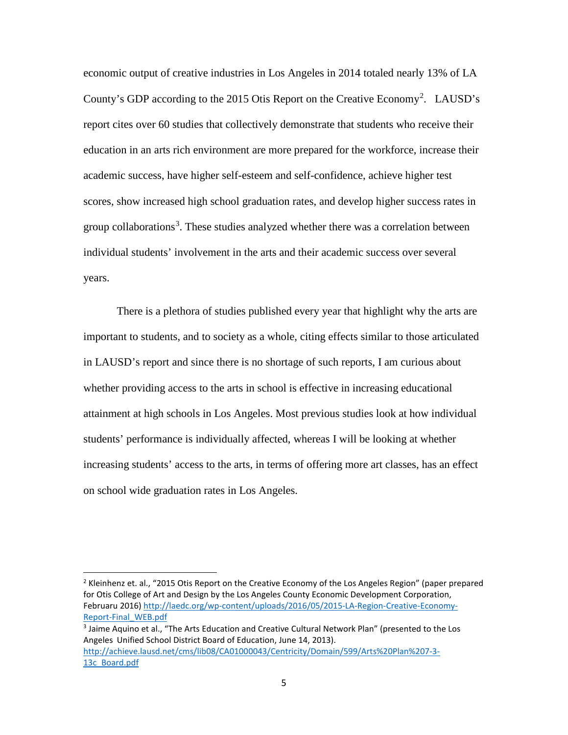economic output of creative industries in Los Angeles in 2014 totaled nearly 13% of LA County's GDP according to the [2](#page-5-0)015 Otis Report on the Creative Economy<sup>2</sup>. LAUSD's report cites over 60 studies that collectively demonstrate that students who receive their education in an arts rich environment are more prepared for the workforce, increase their academic success, have higher self-esteem and self-confidence, achieve higher test scores, show increased high school graduation rates, and develop higher success rates in group collaborations<sup>[3](#page-5-1)</sup>. These studies analyzed whether there was a correlation between individual students' involvement in the arts and their academic success over several years.

There is a plethora of studies published every year that highlight why the arts are important to students, and to society as a whole, citing effects similar to those articulated in LAUSD's report and since there is no shortage of such reports, I am curious about whether providing access to the arts in school is effective in increasing educational attainment at high schools in Los Angeles. Most previous studies look at how individual students' performance is individually affected, whereas I will be looking at whether increasing students' access to the arts, in terms of offering more art classes, has an effect on school wide graduation rates in Los Angeles.

<span id="page-5-0"></span><sup>&</sup>lt;sup>2</sup> Kleinhenz et. al., "2015 Otis Report on the Creative Economy of the Los Angeles Region" (paper prepared for Otis College of Art and Design by the Los Angeles County Economic Development Corporation, Februaru 2016) [http://laedc.org/wp-content/uploads/2016/05/2015-LA-Region-Creative-Economy-](http://laedc.org/wp-content/uploads/2016/05/2015-LA-Region-Creative-Economy-Report-Final_WEB.pdf)[Report-Final\\_WEB.pdf](http://laedc.org/wp-content/uploads/2016/05/2015-LA-Region-Creative-Economy-Report-Final_WEB.pdf)

<span id="page-5-1"></span><sup>&</sup>lt;sup>3</sup> Jaime Aquino et al., "The Arts Education and Creative Cultural Network Plan" (presented to the Los Angeles Unified School District Board of Education, June 14, 2013). [http://achieve.lausd.net/cms/lib08/CA01000043/Centricity/Domain/599/Arts%20Plan%207-3-](http://achieve.lausd.net/cms/lib08/CA01000043/Centricity/Domain/599/Arts%20Plan%207-3-13c_Board.pdf) [13c\\_Board.pdf](http://achieve.lausd.net/cms/lib08/CA01000043/Centricity/Domain/599/Arts%20Plan%207-3-13c_Board.pdf)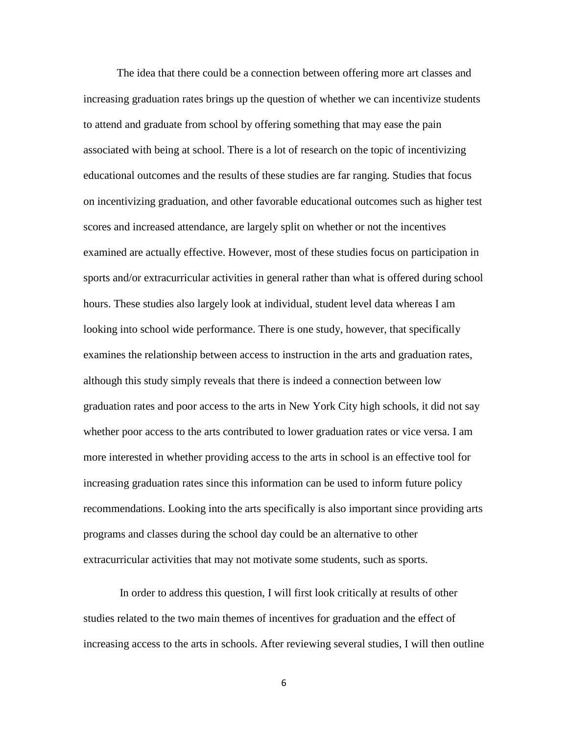The idea that there could be a connection between offering more art classes and increasing graduation rates brings up the question of whether we can incentivize students to attend and graduate from school by offering something that may ease the pain associated with being at school. There is a lot of research on the topic of incentivizing educational outcomes and the results of these studies are far ranging. Studies that focus on incentivizing graduation, and other favorable educational outcomes such as higher test scores and increased attendance, are largely split on whether or not the incentives examined are actually effective. However, most of these studies focus on participation in sports and/or extracurricular activities in general rather than what is offered during school hours. These studies also largely look at individual, student level data whereas I am looking into school wide performance. There is one study, however, that specifically examines the relationship between access to instruction in the arts and graduation rates, although this study simply reveals that there is indeed a connection between low graduation rates and poor access to the arts in New York City high schools, it did not say whether poor access to the arts contributed to lower graduation rates or vice versa. I am more interested in whether providing access to the arts in school is an effective tool for increasing graduation rates since this information can be used to inform future policy recommendations. Looking into the arts specifically is also important since providing arts programs and classes during the school day could be an alternative to other extracurricular activities that may not motivate some students, such as sports.

In order to address this question, I will first look critically at results of other studies related to the two main themes of incentives for graduation and the effect of increasing access to the arts in schools. After reviewing several studies, I will then outline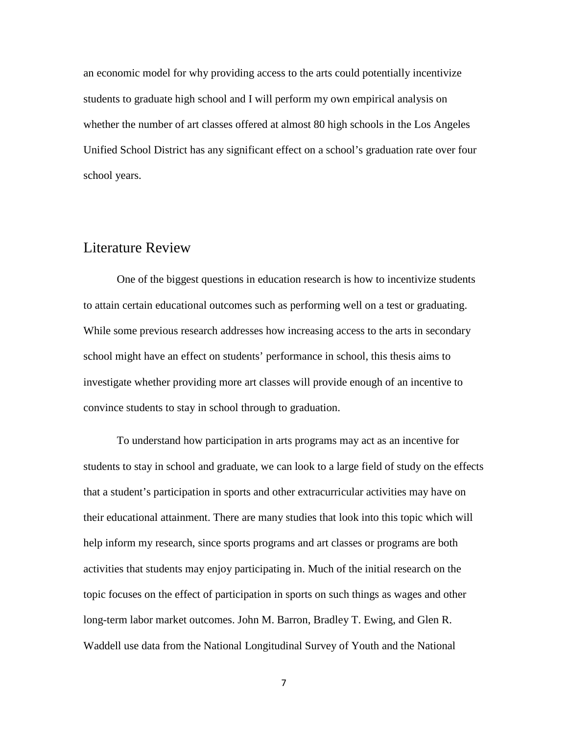an economic model for why providing access to the arts could potentially incentivize students to graduate high school and I will perform my own empirical analysis on whether the number of art classes offered at almost 80 high schools in the Los Angeles Unified School District has any significant effect on a school's graduation rate over four school years.

### <span id="page-7-0"></span>Literature Review

One of the biggest questions in education research is how to incentivize students to attain certain educational outcomes such as performing well on a test or graduating. While some previous research addresses how increasing access to the arts in secondary school might have an effect on students' performance in school, this thesis aims to investigate whether providing more art classes will provide enough of an incentive to convince students to stay in school through to graduation.

To understand how participation in arts programs may act as an incentive for students to stay in school and graduate, we can look to a large field of study on the effects that a student's participation in sports and other extracurricular activities may have on their educational attainment. There are many studies that look into this topic which will help inform my research, since sports programs and art classes or programs are both activities that students may enjoy participating in. Much of the initial research on the topic focuses on the effect of participation in sports on such things as wages and other long-term labor market outcomes. John M. Barron, Bradley T. Ewing, and Glen R. Waddell use data from the National Longitudinal Survey of Youth and the National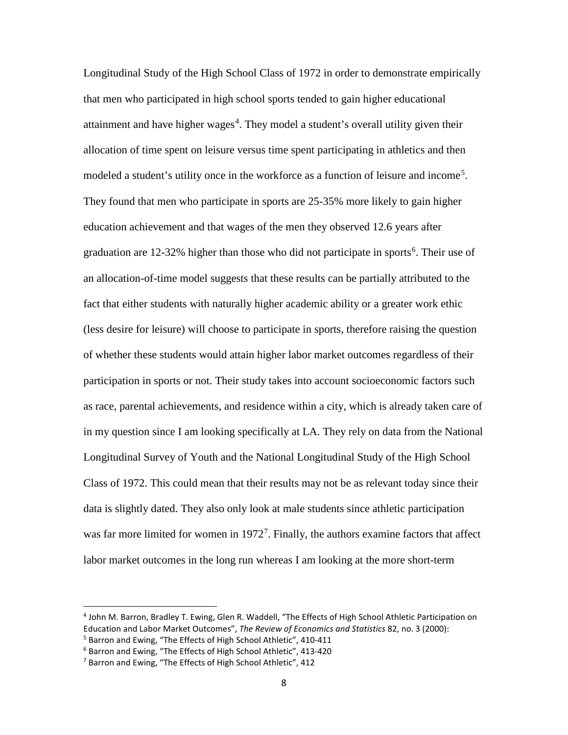Longitudinal Study of the High School Class of 1972 in order to demonstrate empirically that men who participated in high school sports tended to gain higher educational attainment and have higher wages<sup>[4](#page-8-0)</sup>. They model a student's overall utility given their allocation of time spent on leisure versus time spent participating in athletics and then modeled a student's utility once in the workforce as a function of leisure and income<sup>[5](#page-8-1)</sup>. They found that men who participate in sports are 25-35% more likely to gain higher education achievement and that wages of the men they observed 12.6 years after graduation are 12-32% higher than those who did not participate in sports<sup>[6](#page-8-2)</sup>. Their use of an allocation-of-time model suggests that these results can be partially attributed to the fact that either students with naturally higher academic ability or a greater work ethic (less desire for leisure) will choose to participate in sports, therefore raising the question of whether these students would attain higher labor market outcomes regardless of their participation in sports or not. Their study takes into account socioeconomic factors such as race, parental achievements, and residence within a city, which is already taken care of in my question since I am looking specifically at LA. They rely on data from the National Longitudinal Survey of Youth and the National Longitudinal Study of the High School Class of 1972. This could mean that their results may not be as relevant today since their data is slightly dated. They also only look at male students since athletic participation was far more limited for women in  $1972^7$  $1972^7$  $1972^7$ . Finally, the authors examine factors that affect labor market outcomes in the long run whereas I am looking at the more short-term

<span id="page-8-0"></span> <sup>4</sup> John M. Barron, Bradley T. Ewing, Glen R. Waddell, "The Effects of High School Athletic Participation on Education and Labor Market Outcomes", *The Review of Economics and Statistics* 82, no. 3 (2000):<br><sup>5</sup> Barron and Ewing, "The Effects of High School Athletic", 410-411

<span id="page-8-2"></span><span id="page-8-1"></span><sup>6</sup> Barron and Ewing, "The Effects of High School Athletic", 413-420

<span id="page-8-3"></span><sup>&</sup>lt;sup>7</sup> Barron and Ewing, "The Effects of High School Athletic", 412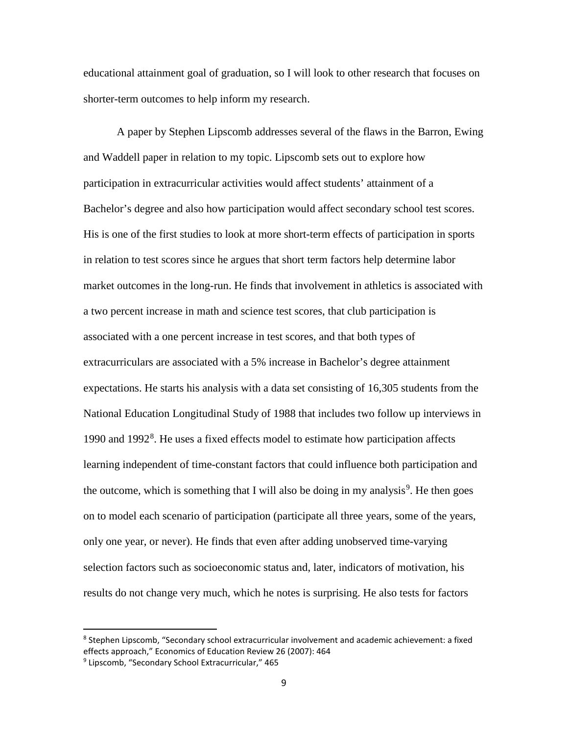educational attainment goal of graduation, so I will look to other research that focuses on shorter-term outcomes to help inform my research.

A paper by Stephen Lipscomb addresses several of the flaws in the Barron, Ewing and Waddell paper in relation to my topic. Lipscomb sets out to explore how participation in extracurricular activities would affect students' attainment of a Bachelor's degree and also how participation would affect secondary school test scores. His is one of the first studies to look at more short-term effects of participation in sports in relation to test scores since he argues that short term factors help determine labor market outcomes in the long-run. He finds that involvement in athletics is associated with a two percent increase in math and science test scores, that club participation is associated with a one percent increase in test scores, and that both types of extracurriculars are associated with a 5% increase in Bachelor's degree attainment expectations. He starts his analysis with a data set consisting of 16,305 students from the National Education Longitudinal Study of 1988 that includes two follow up interviews in 1990 and 1992<sup>[8](#page-9-0)</sup>. He uses a fixed effects model to estimate how participation affects learning independent of time-constant factors that could influence both participation and the outcome, which is something that I will also be doing in my analysis<sup>[9](#page-9-1)</sup>. He then goes on to model each scenario of participation (participate all three years, some of the years, only one year, or never). He finds that even after adding unobserved time-varying selection factors such as socioeconomic status and, later, indicators of motivation, his results do not change very much, which he notes is surprising. He also tests for factors

<span id="page-9-0"></span><sup>&</sup>lt;sup>8</sup> Stephen Lipscomb, "Secondary school extracurricular involvement and academic achievement: a fixed effects approach," Economics of Education Review 26 (2007): 464

<span id="page-9-1"></span><sup>&</sup>lt;sup>9</sup> Lipscomb, "Secondary School Extracurricular," 465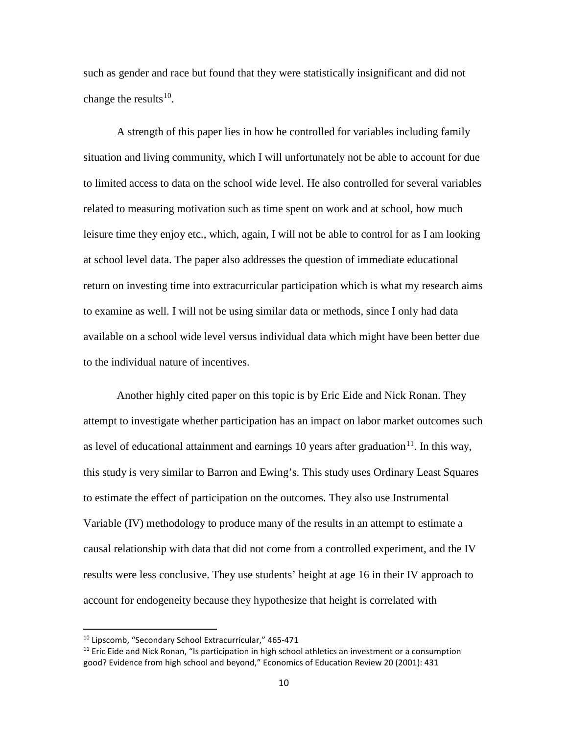such as gender and race but found that they were statistically insignificant and did not change the results<sup>10</sup>.

A strength of this paper lies in how he controlled for variables including family situation and living community, which I will unfortunately not be able to account for due to limited access to data on the school wide level. He also controlled for several variables related to measuring motivation such as time spent on work and at school, how much leisure time they enjoy etc., which, again, I will not be able to control for as I am looking at school level data. The paper also addresses the question of immediate educational return on investing time into extracurricular participation which is what my research aims to examine as well. I will not be using similar data or methods, since I only had data available on a school wide level versus individual data which might have been better due to the individual nature of incentives.

Another highly cited paper on this topic is by Eric Eide and Nick Ronan. They attempt to investigate whether participation has an impact on labor market outcomes such as level of educational attainment and earnings 10 years after graduation<sup>11</sup>. In this way, this study is very similar to Barron and Ewing's. This study uses Ordinary Least Squares to estimate the effect of participation on the outcomes. They also use Instrumental Variable (IV) methodology to produce many of the results in an attempt to estimate a causal relationship with data that did not come from a controlled experiment, and the IV results were less conclusive. They use students' height at age 16 in their IV approach to account for endogeneity because they hypothesize that height is correlated with

<span id="page-10-0"></span> <sup>10</sup> Lipscomb, "Secondary School Extracurricular," 465-471

<span id="page-10-1"></span> $11$  Eric Eide and Nick Ronan, "Is participation in high school athletics an investment or a consumption good? Evidence from high school and beyond," Economics of Education Review 20 (2001): 431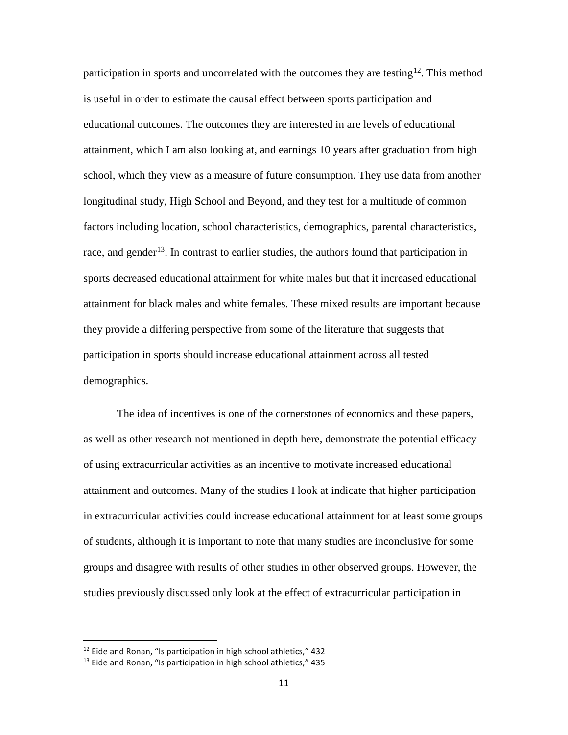participation in sports and uncorrelated with the outcomes they are testing<sup>12</sup>. This method is useful in order to estimate the causal effect between sports participation and educational outcomes. The outcomes they are interested in are levels of educational attainment, which I am also looking at, and earnings 10 years after graduation from high school, which they view as a measure of future consumption. They use data from another longitudinal study, High School and Beyond, and they test for a multitude of common factors including location, school characteristics, demographics, parental characteristics, race, and gender<sup>13</sup>. In contrast to earlier studies, the authors found that participation in sports decreased educational attainment for white males but that it increased educational attainment for black males and white females. These mixed results are important because they provide a differing perspective from some of the literature that suggests that participation in sports should increase educational attainment across all tested demographics.

The idea of incentives is one of the cornerstones of economics and these papers, as well as other research not mentioned in depth here, demonstrate the potential efficacy of using extracurricular activities as an incentive to motivate increased educational attainment and outcomes. Many of the studies I look at indicate that higher participation in extracurricular activities could increase educational attainment for at least some groups of students, although it is important to note that many studies are inconclusive for some groups and disagree with results of other studies in other observed groups. However, the studies previously discussed only look at the effect of extracurricular participation in

<span id="page-11-0"></span> $12$  Eide and Ronan, "Is participation in high school athletics," 432

<span id="page-11-1"></span> $13$  Eide and Ronan, "Is participation in high school athletics," 435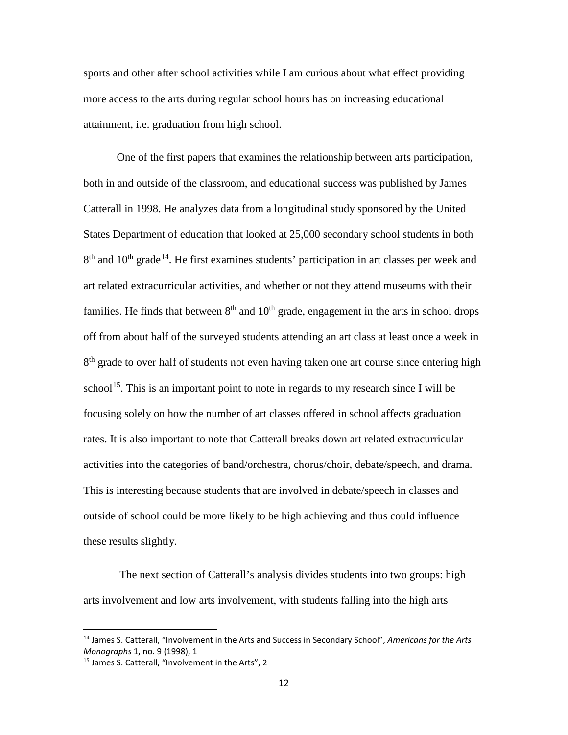sports and other after school activities while I am curious about what effect providing more access to the arts during regular school hours has on increasing educational attainment, i.e. graduation from high school.

One of the first papers that examines the relationship between arts participation, both in and outside of the classroom, and educational success was published by James Catterall in 1998. He analyzes data from a longitudinal study sponsored by the United States Department of education that looked at 25,000 secondary school students in both  $8<sup>th</sup>$  and  $10<sup>th</sup>$  grade<sup>[14](#page-12-0)</sup>. He first examines students' participation in art classes per week and art related extracurricular activities, and whether or not they attend museums with their families. He finds that between  $8<sup>th</sup>$  and  $10<sup>th</sup>$  grade, engagement in the arts in school drops off from about half of the surveyed students attending an art class at least once a week in  $8<sup>th</sup>$  grade to over half of students not even having taken one art course since entering high school<sup>15</sup>. This is an important point to note in regards to my research since I will be focusing solely on how the number of art classes offered in school affects graduation rates. It is also important to note that Catterall breaks down art related extracurricular activities into the categories of band/orchestra, chorus/choir, debate/speech, and drama. This is interesting because students that are involved in debate/speech in classes and outside of school could be more likely to be high achieving and thus could influence these results slightly.

The next section of Catterall's analysis divides students into two groups: high arts involvement and low arts involvement, with students falling into the high arts

<span id="page-12-0"></span> <sup>14</sup> James S. Catterall, "Involvement in the Arts and Success in Secondary School", *Americans for the Arts Monographs* 1, no. 9 (1998), 1

<span id="page-12-1"></span><sup>&</sup>lt;sup>15</sup> James S. Catterall, "Involvement in the Arts", 2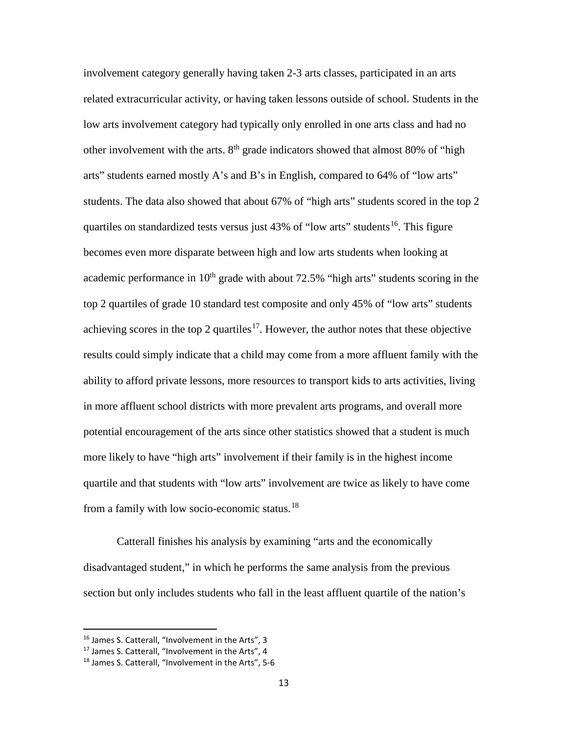involvement category generally having taken 2-3 arts classes, participated in an arts related extracurricular activity, or having taken lessons outside of school. Students in the low arts involvement category had typically only enrolled in one arts class and had no other involvement with the arts.  $8<sup>th</sup>$  grade indicators showed that almost 80% of "high arts" students earned mostly A's and B's in English, compared to 64% of "low arts" students. The data also showed that about 67% of "high arts" students scored in the top 2 quartiles on standardized tests versus just  $43\%$  of "low arts" students<sup>[16](#page-13-0)</sup>. This figure becomes even more disparate between high and low arts students when looking at academic performance in  $10<sup>th</sup>$  grade with about 72.5% "high arts" students scoring in the top 2 quartiles of grade 10 standard test composite and only 45% of "low arts" students achieving scores in the top 2 quartiles<sup>17</sup>. However, the author notes that these objective results could simply indicate that a child may come from a more affluent family with the ability to afford private lessons, more resources to transport kids to arts activities, living in more affluent school districts with more prevalent arts programs, and overall more potential encouragement of the arts since other statistics showed that a student is much more likely to have "high arts" involvement if their family is in the highest income quartile and that students with "low arts" involvement are twice as likely to have come from a family with low socio-economic status.[18](#page-13-2)

Catterall finishes his analysis by examining "arts and the economically disadvantaged student," in which he performs the same analysis from the previous section but only includes students who fall in the least affluent quartile of the nation's

<span id="page-13-0"></span><sup>&</sup>lt;sup>16</sup> James S. Catterall, "Involvement in the Arts", 3

<span id="page-13-1"></span><sup>&</sup>lt;sup>17</sup> James S. Catterall, "Involvement in the Arts", 4

<span id="page-13-2"></span><sup>18</sup> James S. Catterall, "Involvement in the Arts", 5-6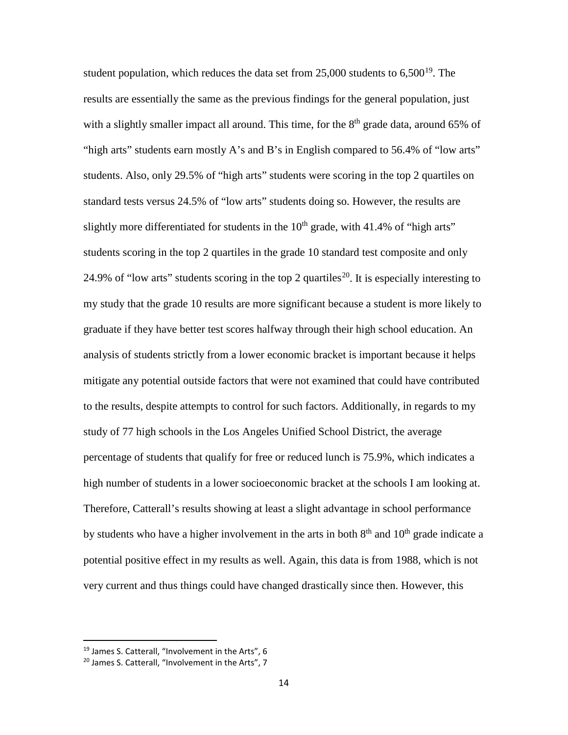student population, which reduces the data set from  $25,000$  students to  $6,500^{19}$ . The results are essentially the same as the previous findings for the general population, just with a slightly smaller impact all around. This time, for the  $8<sup>th</sup>$  grade data, around 65% of "high arts" students earn mostly A's and B's in English compared to 56.4% of "low arts" students. Also, only 29.5% of "high arts" students were scoring in the top 2 quartiles on standard tests versus 24.5% of "low arts" students doing so. However, the results are slightly more differentiated for students in the  $10<sup>th</sup>$  grade, with 41.4% of "high arts" students scoring in the top 2 quartiles in the grade 10 standard test composite and only 24.9% of "low arts" students scoring in the top 2 quartiles<sup>[20](#page-14-1)</sup>. It is especially interesting to my study that the grade 10 results are more significant because a student is more likely to graduate if they have better test scores halfway through their high school education. An analysis of students strictly from a lower economic bracket is important because it helps mitigate any potential outside factors that were not examined that could have contributed to the results, despite attempts to control for such factors. Additionally, in regards to my study of 77 high schools in the Los Angeles Unified School District, the average percentage of students that qualify for free or reduced lunch is 75.9%, which indicates a high number of students in a lower socioeconomic bracket at the schools I am looking at. Therefore, Catterall's results showing at least a slight advantage in school performance by students who have a higher involvement in the arts in both  $8<sup>th</sup>$  and  $10<sup>th</sup>$  grade indicate a potential positive effect in my results as well. Again, this data is from 1988, which is not very current and thus things could have changed drastically since then. However, this

<span id="page-14-0"></span><sup>&</sup>lt;sup>19</sup> James S. Catterall, "Involvement in the Arts", 6

<span id="page-14-1"></span><sup>&</sup>lt;sup>20</sup> James S. Catterall, "Involvement in the Arts", 7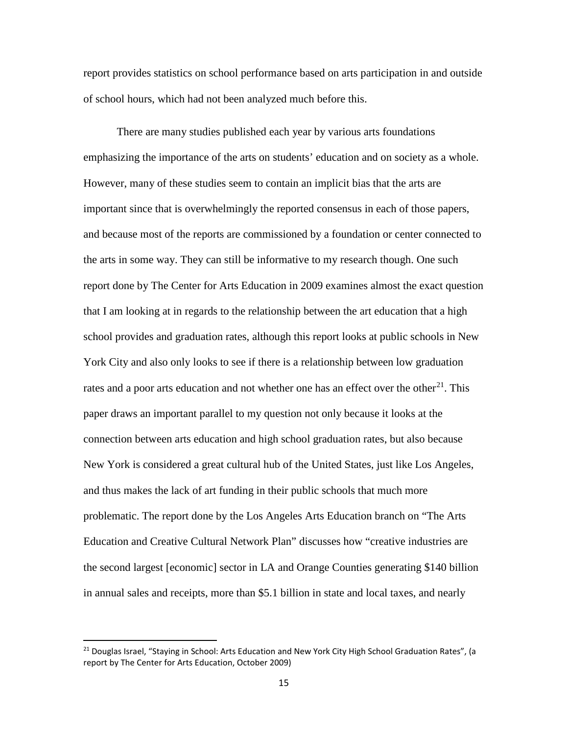report provides statistics on school performance based on arts participation in and outside of school hours, which had not been analyzed much before this.

There are many studies published each year by various arts foundations emphasizing the importance of the arts on students' education and on society as a whole. However, many of these studies seem to contain an implicit bias that the arts are important since that is overwhelmingly the reported consensus in each of those papers, and because most of the reports are commissioned by a foundation or center connected to the arts in some way. They can still be informative to my research though. One such report done by The Center for Arts Education in 2009 examines almost the exact question that I am looking at in regards to the relationship between the art education that a high school provides and graduation rates, although this report looks at public schools in New York City and also only looks to see if there is a relationship between low graduation rates and a poor arts education and not whether one has an effect over the other<sup>21</sup>. This paper draws an important parallel to my question not only because it looks at the connection between arts education and high school graduation rates, but also because New York is considered a great cultural hub of the United States, just like Los Angeles, and thus makes the lack of art funding in their public schools that much more problematic. The report done by the Los Angeles Arts Education branch on "The Arts Education and Creative Cultural Network Plan" discusses how "creative industries are the second largest [economic] sector in LA and Orange Counties generating \$140 billion in annual sales and receipts, more than \$5.1 billion in state and local taxes, and nearly

<span id="page-15-0"></span><sup>&</sup>lt;sup>21</sup> Douglas Israel, "Staying in School: Arts Education and New York City High School Graduation Rates", (a report by The Center for Arts Education, October 2009)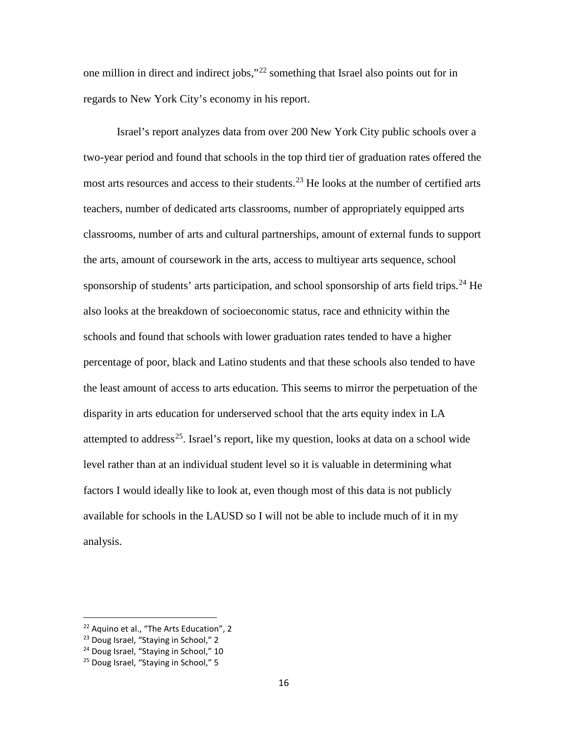one million in direct and indirect jobs,"[22](#page-16-0) something that Israel also points out for in regards to New York City's economy in his report.

Israel's report analyzes data from over 200 New York City public schools over a two-year period and found that schools in the top third tier of graduation rates offered the most arts resources and access to their students.<sup>[23](#page-16-1)</sup> He looks at the number of certified arts teachers, number of dedicated arts classrooms, number of appropriately equipped arts classrooms, number of arts and cultural partnerships, amount of external funds to support the arts, amount of coursework in the arts, access to multiyear arts sequence, school sponsorship of students' arts participation, and school sponsorship of arts field trips.<sup>[24](#page-16-2)</sup> He also looks at the breakdown of socioeconomic status, race and ethnicity within the schools and found that schools with lower graduation rates tended to have a higher percentage of poor, black and Latino students and that these schools also tended to have the least amount of access to arts education. This seems to mirror the perpetuation of the disparity in arts education for underserved school that the arts equity index in LA attempted to address<sup>[25](#page-16-3)</sup>. Israel's report, like my question, looks at data on a school wide level rather than at an individual student level so it is valuable in determining what factors I would ideally like to look at, even though most of this data is not publicly available for schools in the LAUSD so I will not be able to include much of it in my analysis.

<span id="page-16-0"></span><sup>&</sup>lt;sup>22</sup> Aquino et al., "The Arts Education", 2

<span id="page-16-1"></span><sup>&</sup>lt;sup>23</sup> Doug Israel, "Staving in School," 2

<span id="page-16-2"></span><sup>&</sup>lt;sup>24</sup> Doug Israel, "Staying in School," 10

<span id="page-16-3"></span><sup>&</sup>lt;sup>25</sup> Doug Israel, "Staying in School," 5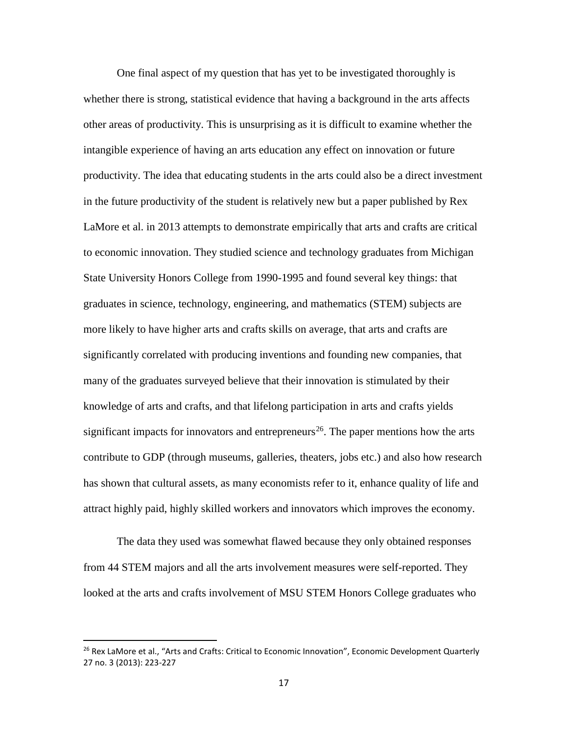One final aspect of my question that has yet to be investigated thoroughly is whether there is strong, statistical evidence that having a background in the arts affects other areas of productivity. This is unsurprising as it is difficult to examine whether the intangible experience of having an arts education any effect on innovation or future productivity. The idea that educating students in the arts could also be a direct investment in the future productivity of the student is relatively new but a paper published by Rex LaMore et al. in 2013 attempts to demonstrate empirically that arts and crafts are critical to economic innovation. They studied science and technology graduates from Michigan State University Honors College from 1990-1995 and found several key things: that graduates in science, technology, engineering, and mathematics (STEM) subjects are more likely to have higher arts and crafts skills on average, that arts and crafts are significantly correlated with producing inventions and founding new companies, that many of the graduates surveyed believe that their innovation is stimulated by their knowledge of arts and crafts, and that lifelong participation in arts and crafts yields significant impacts for innovators and entrepreneurs<sup>26</sup>. The paper mentions how the arts contribute to GDP (through museums, galleries, theaters, jobs etc.) and also how research has shown that cultural assets, as many economists refer to it, enhance quality of life and attract highly paid, highly skilled workers and innovators which improves the economy.

The data they used was somewhat flawed because they only obtained responses from 44 STEM majors and all the arts involvement measures were self-reported. They looked at the arts and crafts involvement of MSU STEM Honors College graduates who

<span id="page-17-0"></span><sup>&</sup>lt;sup>26</sup> Rex LaMore et al., "Arts and Crafts: Critical to Economic Innovation", Economic Development Quarterly 27 no. 3 (2013): 223-227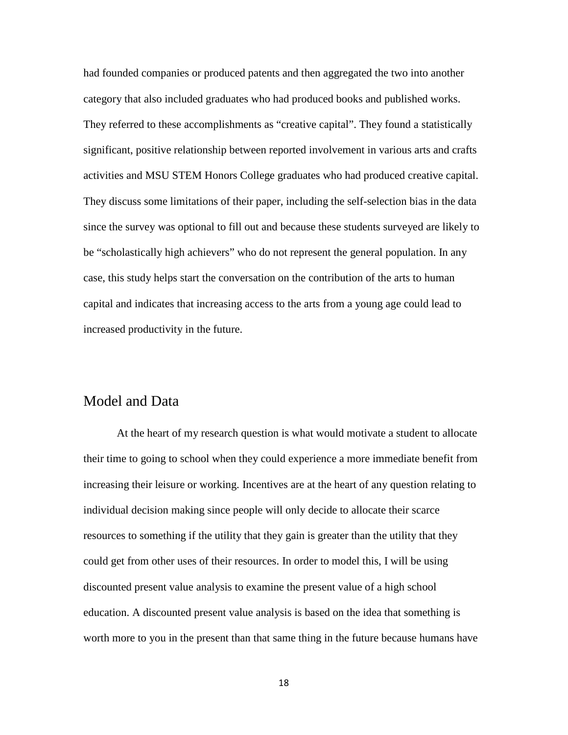had founded companies or produced patents and then aggregated the two into another category that also included graduates who had produced books and published works. They referred to these accomplishments as "creative capital". They found a statistically significant, positive relationship between reported involvement in various arts and crafts activities and MSU STEM Honors College graduates who had produced creative capital. They discuss some limitations of their paper, including the self-selection bias in the data since the survey was optional to fill out and because these students surveyed are likely to be "scholastically high achievers" who do not represent the general population. In any case, this study helps start the conversation on the contribution of the arts to human capital and indicates that increasing access to the arts from a young age could lead to increased productivity in the future.

### <span id="page-18-0"></span>Model and Data

At the heart of my research question is what would motivate a student to allocate their time to going to school when they could experience a more immediate benefit from increasing their leisure or working. Incentives are at the heart of any question relating to individual decision making since people will only decide to allocate their scarce resources to something if the utility that they gain is greater than the utility that they could get from other uses of their resources. In order to model this, I will be using discounted present value analysis to examine the present value of a high school education. A discounted present value analysis is based on the idea that something is worth more to you in the present than that same thing in the future because humans have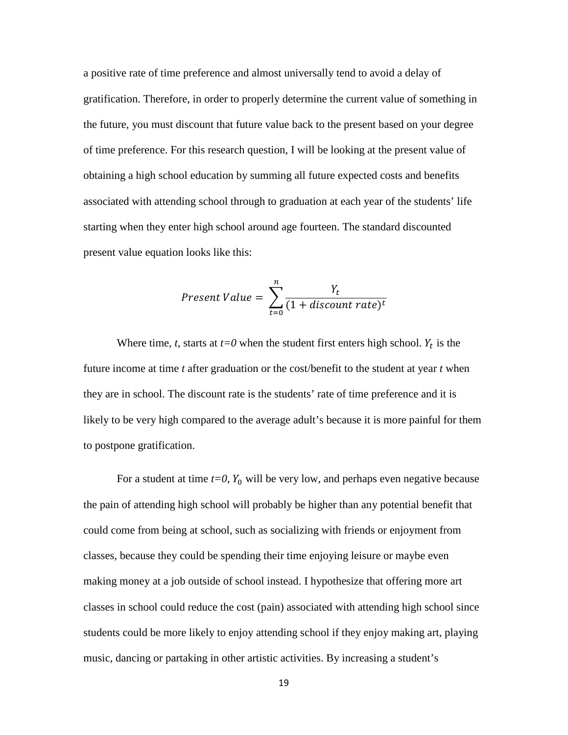a positive rate of time preference and almost universally tend to avoid a delay of gratification. Therefore, in order to properly determine the current value of something in the future, you must discount that future value back to the present based on your degree of time preference. For this research question, I will be looking at the present value of obtaining a high school education by summing all future expected costs and benefits associated with attending school through to graduation at each year of the students' life starting when they enter high school around age fourteen. The standard discounted present value equation looks like this:

$$
Present\ Value = \sum_{t=0}^{n} \frac{Y_t}{(1+discount\ rate)^t}
$$

Where time, *t*, starts at  $t=0$  when the student first enters high school.  $Y_t$  is the future income at time *t* after graduation or the cost/benefit to the student at year *t* when they are in school. The discount rate is the students' rate of time preference and it is likely to be very high compared to the average adult's because it is more painful for them to postpone gratification.

For a student at time  $t=0$ ,  $Y_0$  will be very low, and perhaps even negative because the pain of attending high school will probably be higher than any potential benefit that could come from being at school, such as socializing with friends or enjoyment from classes, because they could be spending their time enjoying leisure or maybe even making money at a job outside of school instead. I hypothesize that offering more art classes in school could reduce the cost (pain) associated with attending high school since students could be more likely to enjoy attending school if they enjoy making art, playing music, dancing or partaking in other artistic activities. By increasing a student's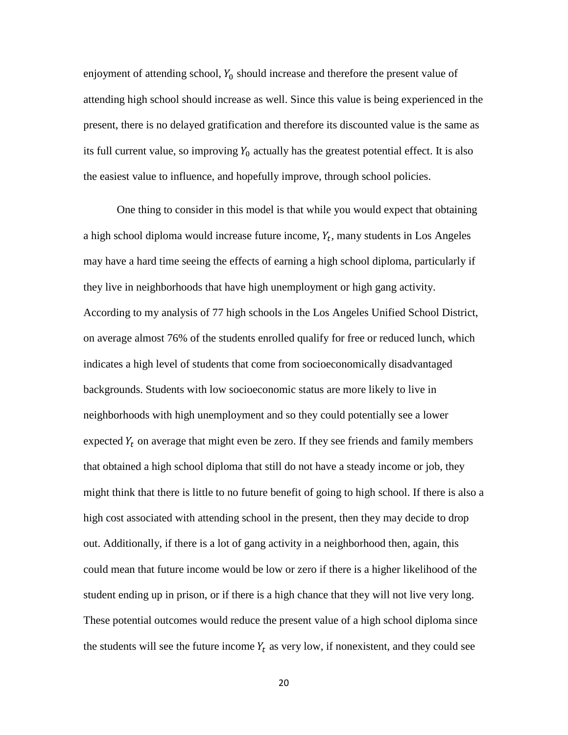enjoyment of attending school,  $Y_0$  should increase and therefore the present value of attending high school should increase as well. Since this value is being experienced in the present, there is no delayed gratification and therefore its discounted value is the same as its full current value, so improving  $Y_0$  actually has the greatest potential effect. It is also the easiest value to influence, and hopefully improve, through school policies.

One thing to consider in this model is that while you would expect that obtaining a high school diploma would increase future income,  $Y_t$ , many students in Los Angeles may have a hard time seeing the effects of earning a high school diploma, particularly if they live in neighborhoods that have high unemployment or high gang activity. According to my analysis of 77 high schools in the Los Angeles Unified School District, on average almost 76% of the students enrolled qualify for free or reduced lunch, which indicates a high level of students that come from socioeconomically disadvantaged backgrounds. Students with low socioeconomic status are more likely to live in neighborhoods with high unemployment and so they could potentially see a lower expected  $Y_t$  on average that might even be zero. If they see friends and family members that obtained a high school diploma that still do not have a steady income or job, they might think that there is little to no future benefit of going to high school. If there is also a high cost associated with attending school in the present, then they may decide to drop out. Additionally, if there is a lot of gang activity in a neighborhood then, again, this could mean that future income would be low or zero if there is a higher likelihood of the student ending up in prison, or if there is a high chance that they will not live very long. These potential outcomes would reduce the present value of a high school diploma since the students will see the future income  $Y_t$  as very low, if nonexistent, and they could see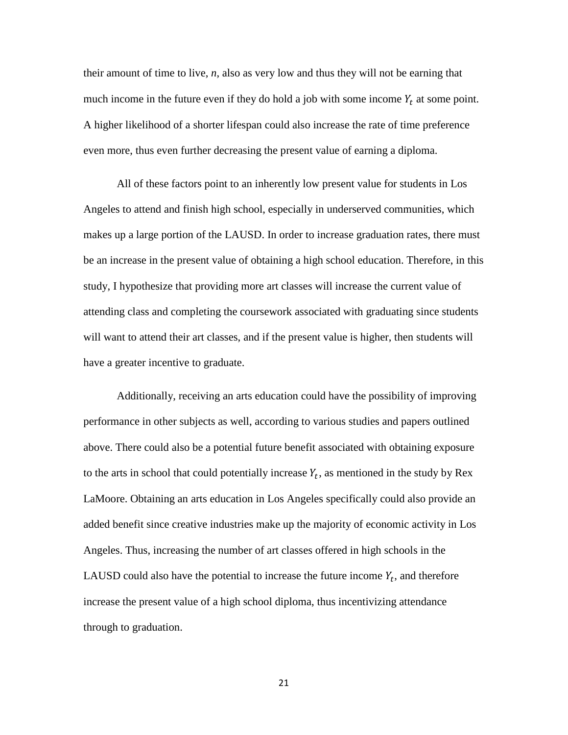their amount of time to live, *n*, also as very low and thus they will not be earning that much income in the future even if they do hold a job with some income  $Y_t$  at some point. A higher likelihood of a shorter lifespan could also increase the rate of time preference even more, thus even further decreasing the present value of earning a diploma.

All of these factors point to an inherently low present value for students in Los Angeles to attend and finish high school, especially in underserved communities, which makes up a large portion of the LAUSD. In order to increase graduation rates, there must be an increase in the present value of obtaining a high school education. Therefore, in this study, I hypothesize that providing more art classes will increase the current value of attending class and completing the coursework associated with graduating since students will want to attend their art classes, and if the present value is higher, then students will have a greater incentive to graduate.

Additionally, receiving an arts education could have the possibility of improving performance in other subjects as well, according to various studies and papers outlined above. There could also be a potential future benefit associated with obtaining exposure to the arts in school that could potentially increase  $Y_t$ , as mentioned in the study by Rex LaMoore. Obtaining an arts education in Los Angeles specifically could also provide an added benefit since creative industries make up the majority of economic activity in Los Angeles. Thus, increasing the number of art classes offered in high schools in the LAUSD could also have the potential to increase the future income  $Y_t$ , and therefore increase the present value of a high school diploma, thus incentivizing attendance through to graduation.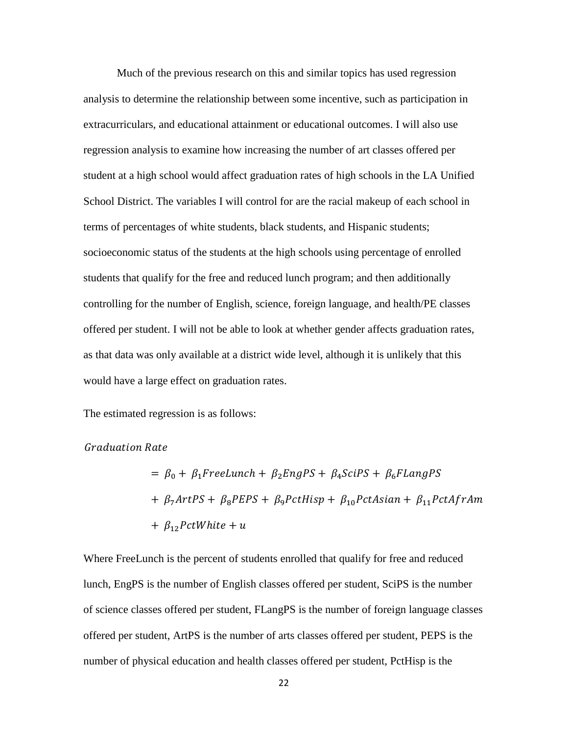Much of the previous research on this and similar topics has used regression analysis to determine the relationship between some incentive, such as participation in extracurriculars, and educational attainment or educational outcomes. I will also use regression analysis to examine how increasing the number of art classes offered per student at a high school would affect graduation rates of high schools in the LA Unified School District. The variables I will control for are the racial makeup of each school in terms of percentages of white students, black students, and Hispanic students; socioeconomic status of the students at the high schools using percentage of enrolled students that qualify for the free and reduced lunch program; and then additionally controlling for the number of English, science, foreign language, and health/PE classes offered per student. I will not be able to look at whether gender affects graduation rates, as that data was only available at a district wide level, although it is unlikely that this would have a large effect on graduation rates.

The estimated regression is as follows:

**Graduation Rate** 

$$
= \beta_0 + \beta_1 FreeLunch + \beta_2 EngPS + \beta_4 SciPS + \beta_6 FlangPS
$$
  
+  $\beta_7 ArtPS + \beta_8 PEPS + \beta_9 PctHisp + \beta_{10} Pct Asian + \beta_{11} PctAfrAm$   
+  $\beta_{12} PctWhite + u$ 

Where FreeLunch is the percent of students enrolled that qualify for free and reduced lunch, EngPS is the number of English classes offered per student, SciPS is the number of science classes offered per student, FLangPS is the number of foreign language classes offered per student, ArtPS is the number of arts classes offered per student, PEPS is the number of physical education and health classes offered per student, PctHisp is the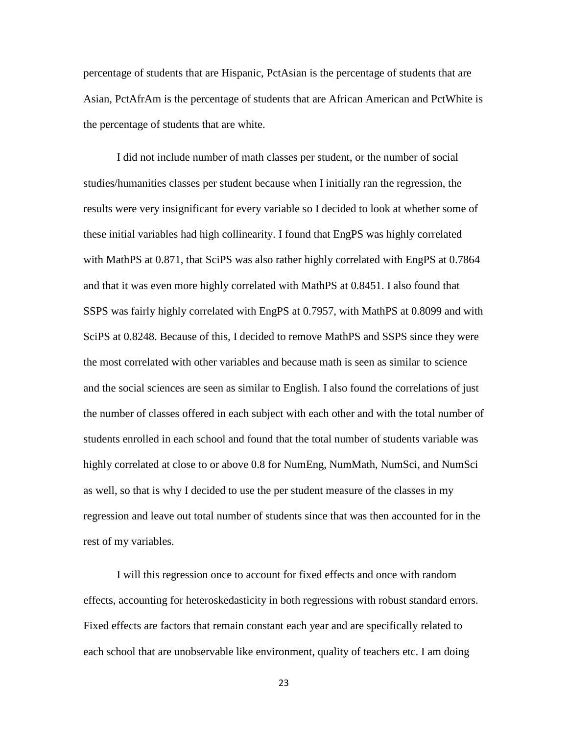percentage of students that are Hispanic, PctAsian is the percentage of students that are Asian, PctAfrAm is the percentage of students that are African American and PctWhite is the percentage of students that are white.

I did not include number of math classes per student, or the number of social studies/humanities classes per student because when I initially ran the regression, the results were very insignificant for every variable so I decided to look at whether some of these initial variables had high collinearity. I found that EngPS was highly correlated with MathPS at 0.871, that SciPS was also rather highly correlated with EngPS at 0.7864 and that it was even more highly correlated with MathPS at 0.8451. I also found that SSPS was fairly highly correlated with EngPS at 0.7957, with MathPS at 0.8099 and with SciPS at 0.8248. Because of this, I decided to remove MathPS and SSPS since they were the most correlated with other variables and because math is seen as similar to science and the social sciences are seen as similar to English. I also found the correlations of just the number of classes offered in each subject with each other and with the total number of students enrolled in each school and found that the total number of students variable was highly correlated at close to or above 0.8 for NumEng, NumMath, NumSci, and NumSci as well, so that is why I decided to use the per student measure of the classes in my regression and leave out total number of students since that was then accounted for in the rest of my variables.

I will this regression once to account for fixed effects and once with random effects, accounting for heteroskedasticity in both regressions with robust standard errors. Fixed effects are factors that remain constant each year and are specifically related to each school that are unobservable like environment, quality of teachers etc. I am doing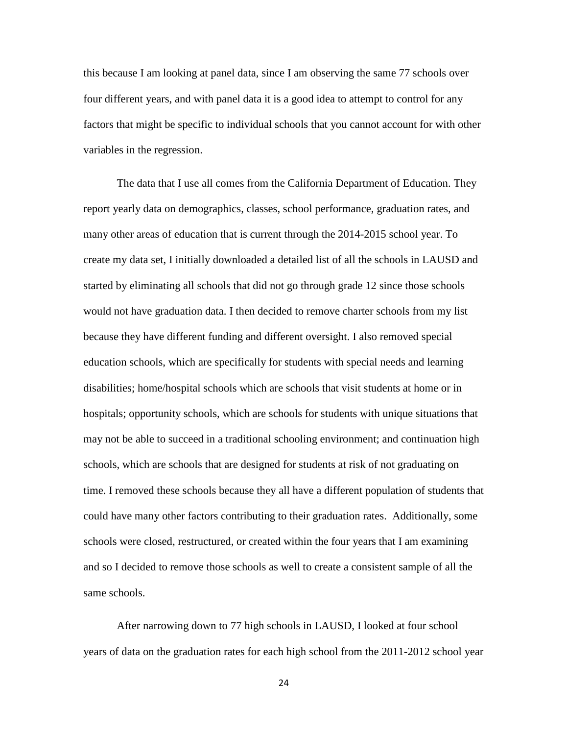this because I am looking at panel data, since I am observing the same 77 schools over four different years, and with panel data it is a good idea to attempt to control for any factors that might be specific to individual schools that you cannot account for with other variables in the regression.

The data that I use all comes from the California Department of Education. They report yearly data on demographics, classes, school performance, graduation rates, and many other areas of education that is current through the 2014-2015 school year. To create my data set, I initially downloaded a detailed list of all the schools in LAUSD and started by eliminating all schools that did not go through grade 12 since those schools would not have graduation data. I then decided to remove charter schools from my list because they have different funding and different oversight. I also removed special education schools, which are specifically for students with special needs and learning disabilities; home/hospital schools which are schools that visit students at home or in hospitals; opportunity schools, which are schools for students with unique situations that may not be able to succeed in a traditional schooling environment; and continuation high schools, which are schools that are designed for students at risk of not graduating on time. I removed these schools because they all have a different population of students that could have many other factors contributing to their graduation rates. Additionally, some schools were closed, restructured, or created within the four years that I am examining and so I decided to remove those schools as well to create a consistent sample of all the same schools.

After narrowing down to 77 high schools in LAUSD, I looked at four school years of data on the graduation rates for each high school from the 2011-2012 school year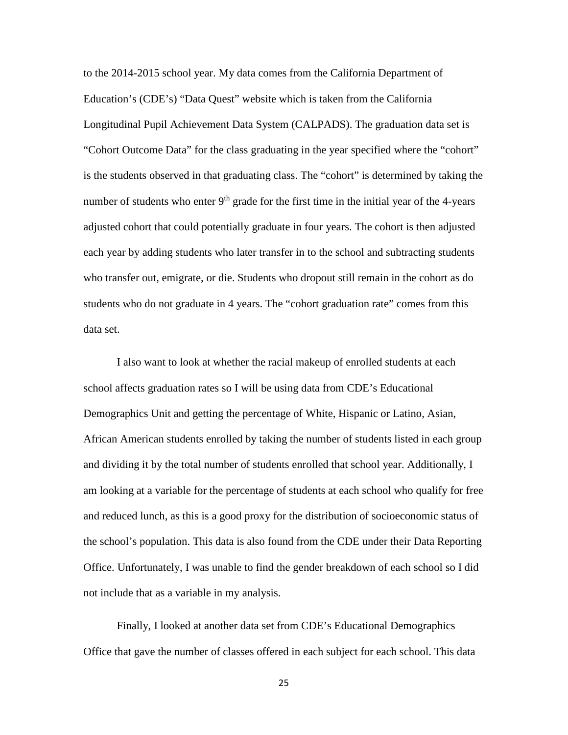to the 2014-2015 school year. My data comes from the California Department of Education's (CDE's) "Data Quest" website which is taken from the California Longitudinal Pupil Achievement Data System (CALPADS). The graduation data set is "Cohort Outcome Data" for the class graduating in the year specified where the "cohort" is the students observed in that graduating class. The "cohort" is determined by taking the number of students who enter  $9<sup>th</sup>$  grade for the first time in the initial year of the 4-years adjusted cohort that could potentially graduate in four years. The cohort is then adjusted each year by adding students who later transfer in to the school and subtracting students who transfer out, emigrate, or die. Students who dropout still remain in the cohort as do students who do not graduate in 4 years. The "cohort graduation rate" comes from this data set.

I also want to look at whether the racial makeup of enrolled students at each school affects graduation rates so I will be using data from CDE's Educational Demographics Unit and getting the percentage of White, Hispanic or Latino, Asian, African American students enrolled by taking the number of students listed in each group and dividing it by the total number of students enrolled that school year. Additionally, I am looking at a variable for the percentage of students at each school who qualify for free and reduced lunch, as this is a good proxy for the distribution of socioeconomic status of the school's population. This data is also found from the CDE under their Data Reporting Office. Unfortunately, I was unable to find the gender breakdown of each school so I did not include that as a variable in my analysis.

Finally, I looked at another data set from CDE's Educational Demographics Office that gave the number of classes offered in each subject for each school. This data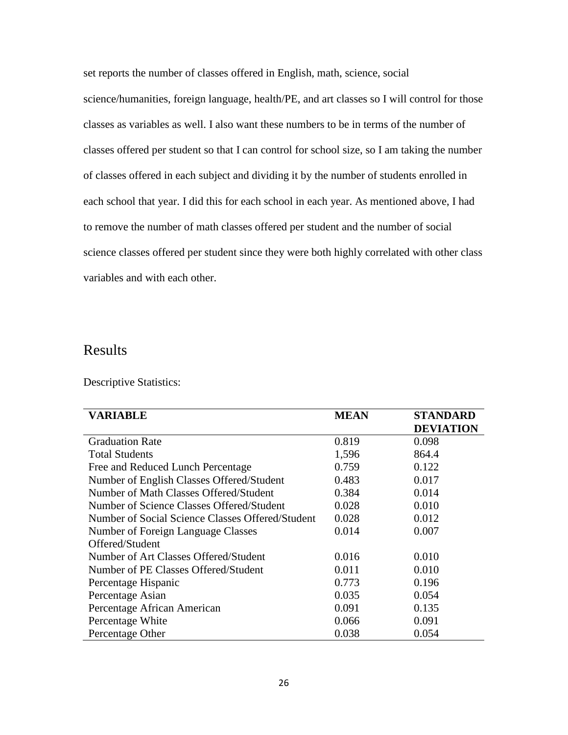set reports the number of classes offered in English, math, science, social science/humanities, foreign language, health/PE, and art classes so I will control for those classes as variables as well. I also want these numbers to be in terms of the number of classes offered per student so that I can control for school size, so I am taking the number of classes offered in each subject and dividing it by the number of students enrolled in each school that year. I did this for each school in each year. As mentioned above, I had to remove the number of math classes offered per student and the number of social science classes offered per student since they were both highly correlated with other class variables and with each other.

### <span id="page-26-0"></span>Results

Descriptive Statistics:

| <b>VARIABLE</b>                                  | <b>MEAN</b> | <b>STANDARD</b>  |
|--------------------------------------------------|-------------|------------------|
|                                                  |             | <b>DEVIATION</b> |
| <b>Graduation Rate</b>                           | 0.819       | 0.098            |
| <b>Total Students</b>                            | 1,596       | 864.4            |
| Free and Reduced Lunch Percentage                | 0.759       | 0.122            |
| Number of English Classes Offered/Student        | 0.483       | 0.017            |
| Number of Math Classes Offered/Student           | 0.384       | 0.014            |
| Number of Science Classes Offered/Student        | 0.028       | 0.010            |
| Number of Social Science Classes Offered/Student | 0.028       | 0.012            |
| Number of Foreign Language Classes               | 0.014       | 0.007            |
| Offered/Student                                  |             |                  |
| Number of Art Classes Offered/Student            | 0.016       | 0.010            |
| Number of PE Classes Offered/Student             | 0.011       | 0.010            |
| Percentage Hispanic                              | 0.773       | 0.196            |
| Percentage Asian                                 | 0.035       | 0.054            |
| Percentage African American                      | 0.091       | 0.135            |
| Percentage White                                 | 0.066       | 0.091            |
| Percentage Other                                 | 0.038       | 0.054            |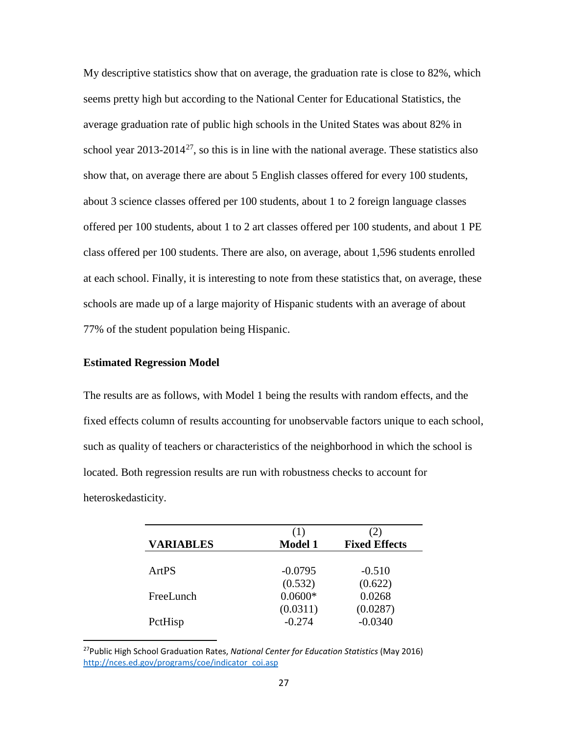My descriptive statistics show that on average, the graduation rate is close to 82%, which seems pretty high but according to the National Center for Educational Statistics, the average graduation rate of public high schools in the United States was about 82% in school year  $2013-2014^{27}$ , so this is in line with the national average. These statistics also show that, on average there are about 5 English classes offered for every 100 students, about 3 science classes offered per 100 students, about 1 to 2 foreign language classes offered per 100 students, about 1 to 2 art classes offered per 100 students, and about 1 PE class offered per 100 students. There are also, on average, about 1,596 students enrolled at each school. Finally, it is interesting to note from these statistics that, on average, these schools are made up of a large majority of Hispanic students with an average of about 77% of the student population being Hispanic.

#### **Estimated Regression Model**

The results are as follows, with Model 1 being the results with random effects, and the fixed effects column of results accounting for unobservable factors unique to each school, such as quality of teachers or characteristics of the neighborhood in which the school is located. Both regression results are run with robustness checks to account for heteroskedasticity.

| <b>VARIABLES</b> | (1)<br><b>Model 1</b> | <b>Fixed Effects</b> |
|------------------|-----------------------|----------------------|
| ArtPS            | $-0.0795$             | $-0.510$             |
|                  | (0.532)               | (0.622)              |
| FreeLunch        | $0.0600*$             | 0.0268               |
|                  | (0.0311)              | (0.0287)             |
| PctHisp          | $-0.274$              | $-0.0340$            |

<span id="page-27-0"></span> <sup>27</sup>Public High School Graduation Rates, *National Center for Education Statistics* (May 2016) [http://nces.ed.gov/programs/coe/indicator\\_coi.asp](http://nces.ed.gov/programs/coe/indicator_coi.asp)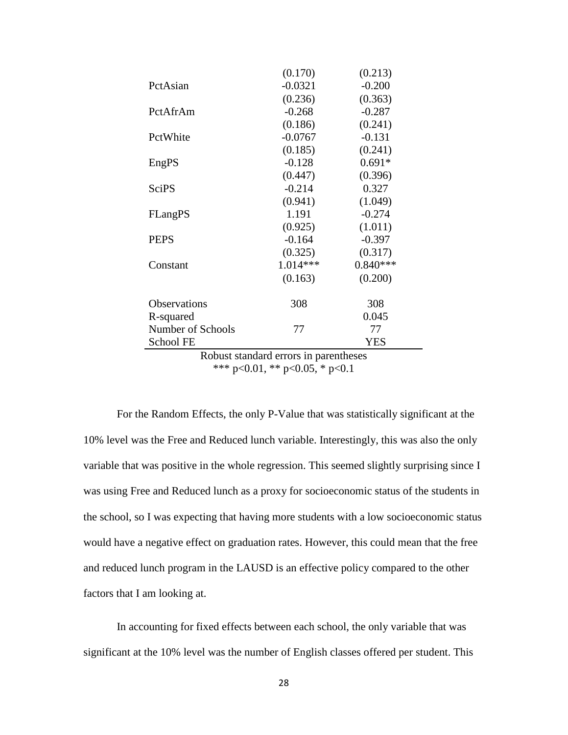| (0.170)    | (0.213)    |
|------------|------------|
| $-0.0321$  | $-0.200$   |
| (0.236)    | (0.363)    |
| $-0.268$   | $-0.287$   |
| (0.186)    | (0.241)    |
| $-0.0767$  | $-0.131$   |
| (0.185)    | (0.241)    |
| $-0.128$   | $0.691*$   |
| (0.447)    | (0.396)    |
| $-0.214$   | 0.327      |
| (0.941)    | (1.049)    |
| 1.191      | $-0.274$   |
| (0.925)    | (1.011)    |
| $-0.164$   | $-0.397$   |
| (0.325)    | (0.317)    |
| $1.014***$ | $0.840***$ |
| (0.163)    | (0.200)    |
| 308        | 308        |
|            | 0.045      |
| 77         | 77         |
|            | <b>YES</b> |
|            |            |

Robust standard errors in parentheses \*\*\* p<0.01, \*\* p<0.05, \* p<0.1

For the Random Effects, the only P-Value that was statistically significant at the 10% level was the Free and Reduced lunch variable. Interestingly, this was also the only variable that was positive in the whole regression. This seemed slightly surprising since I was using Free and Reduced lunch as a proxy for socioeconomic status of the students in the school, so I was expecting that having more students with a low socioeconomic status would have a negative effect on graduation rates. However, this could mean that the free and reduced lunch program in the LAUSD is an effective policy compared to the other factors that I am looking at.

In accounting for fixed effects between each school, the only variable that was significant at the 10% level was the number of English classes offered per student. This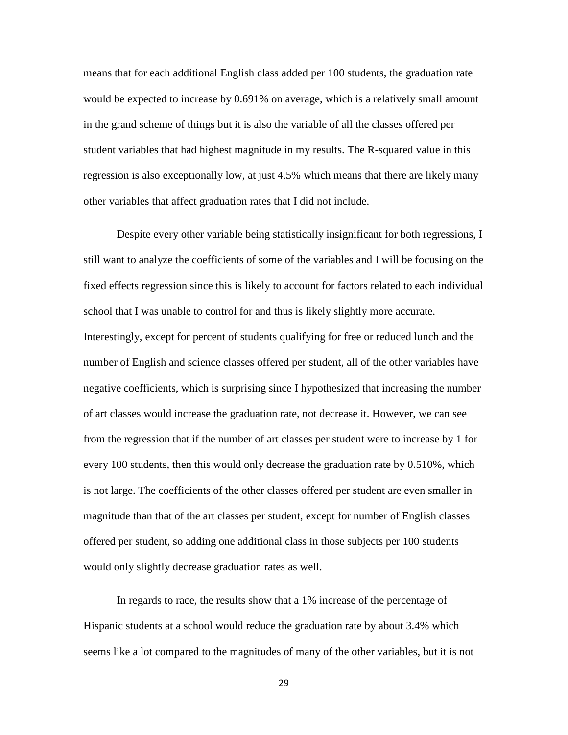means that for each additional English class added per 100 students, the graduation rate would be expected to increase by 0.691% on average, which is a relatively small amount in the grand scheme of things but it is also the variable of all the classes offered per student variables that had highest magnitude in my results. The R-squared value in this regression is also exceptionally low, at just 4.5% which means that there are likely many other variables that affect graduation rates that I did not include.

Despite every other variable being statistically insignificant for both regressions, I still want to analyze the coefficients of some of the variables and I will be focusing on the fixed effects regression since this is likely to account for factors related to each individual school that I was unable to control for and thus is likely slightly more accurate. Interestingly, except for percent of students qualifying for free or reduced lunch and the number of English and science classes offered per student, all of the other variables have negative coefficients, which is surprising since I hypothesized that increasing the number of art classes would increase the graduation rate, not decrease it. However, we can see from the regression that if the number of art classes per student were to increase by 1 for every 100 students, then this would only decrease the graduation rate by 0.510%, which is not large. The coefficients of the other classes offered per student are even smaller in magnitude than that of the art classes per student, except for number of English classes offered per student, so adding one additional class in those subjects per 100 students would only slightly decrease graduation rates as well.

In regards to race, the results show that a 1% increase of the percentage of Hispanic students at a school would reduce the graduation rate by about 3.4% which seems like a lot compared to the magnitudes of many of the other variables, but it is not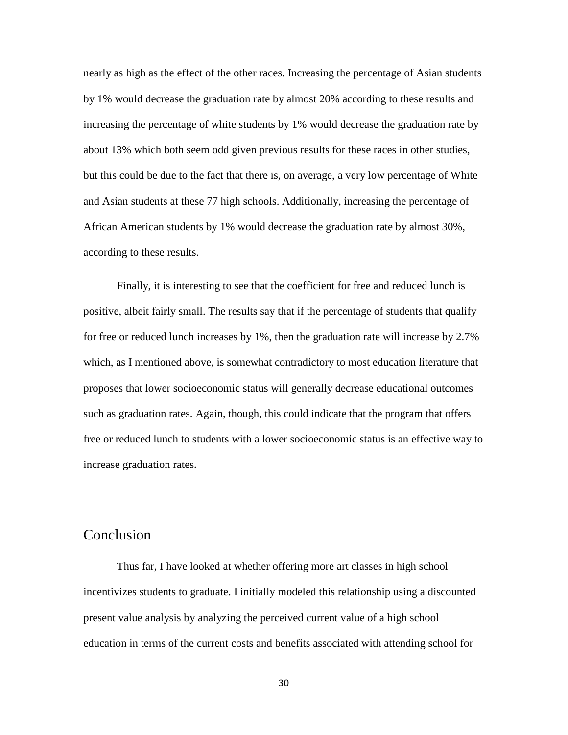nearly as high as the effect of the other races. Increasing the percentage of Asian students by 1% would decrease the graduation rate by almost 20% according to these results and increasing the percentage of white students by 1% would decrease the graduation rate by about 13% which both seem odd given previous results for these races in other studies, but this could be due to the fact that there is, on average, a very low percentage of White and Asian students at these 77 high schools. Additionally, increasing the percentage of African American students by 1% would decrease the graduation rate by almost 30%, according to these results.

Finally, it is interesting to see that the coefficient for free and reduced lunch is positive, albeit fairly small. The results say that if the percentage of students that qualify for free or reduced lunch increases by 1%, then the graduation rate will increase by 2.7% which, as I mentioned above, is somewhat contradictory to most education literature that proposes that lower socioeconomic status will generally decrease educational outcomes such as graduation rates. Again, though, this could indicate that the program that offers free or reduced lunch to students with a lower socioeconomic status is an effective way to increase graduation rates.

### <span id="page-30-0"></span>Conclusion

Thus far, I have looked at whether offering more art classes in high school incentivizes students to graduate. I initially modeled this relationship using a discounted present value analysis by analyzing the perceived current value of a high school education in terms of the current costs and benefits associated with attending school for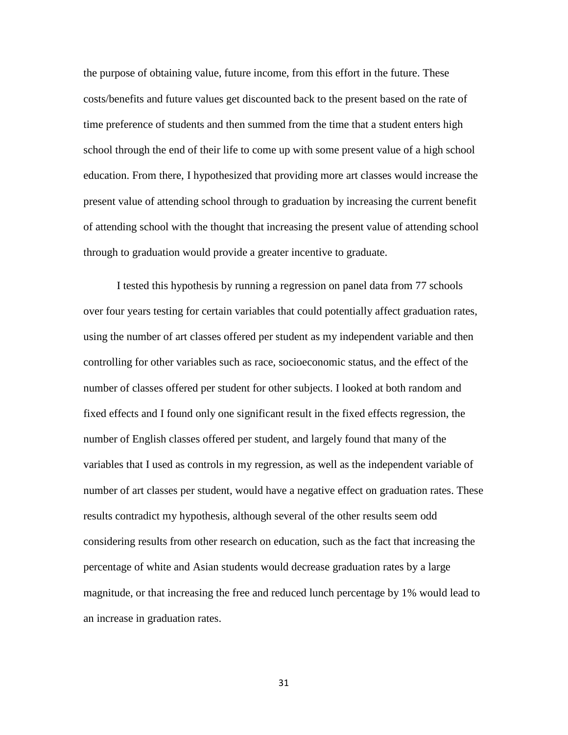the purpose of obtaining value, future income, from this effort in the future. These costs/benefits and future values get discounted back to the present based on the rate of time preference of students and then summed from the time that a student enters high school through the end of their life to come up with some present value of a high school education. From there, I hypothesized that providing more art classes would increase the present value of attending school through to graduation by increasing the current benefit of attending school with the thought that increasing the present value of attending school through to graduation would provide a greater incentive to graduate.

I tested this hypothesis by running a regression on panel data from 77 schools over four years testing for certain variables that could potentially affect graduation rates, using the number of art classes offered per student as my independent variable and then controlling for other variables such as race, socioeconomic status, and the effect of the number of classes offered per student for other subjects. I looked at both random and fixed effects and I found only one significant result in the fixed effects regression, the number of English classes offered per student, and largely found that many of the variables that I used as controls in my regression, as well as the independent variable of number of art classes per student, would have a negative effect on graduation rates. These results contradict my hypothesis, although several of the other results seem odd considering results from other research on education, such as the fact that increasing the percentage of white and Asian students would decrease graduation rates by a large magnitude, or that increasing the free and reduced lunch percentage by 1% would lead to an increase in graduation rates.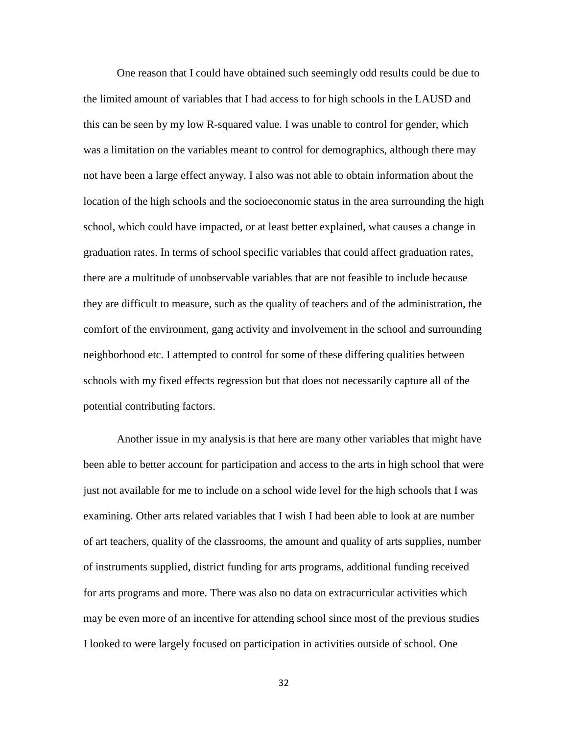One reason that I could have obtained such seemingly odd results could be due to the limited amount of variables that I had access to for high schools in the LAUSD and this can be seen by my low R-squared value. I was unable to control for gender, which was a limitation on the variables meant to control for demographics, although there may not have been a large effect anyway. I also was not able to obtain information about the location of the high schools and the socioeconomic status in the area surrounding the high school, which could have impacted, or at least better explained, what causes a change in graduation rates. In terms of school specific variables that could affect graduation rates, there are a multitude of unobservable variables that are not feasible to include because they are difficult to measure, such as the quality of teachers and of the administration, the comfort of the environment, gang activity and involvement in the school and surrounding neighborhood etc. I attempted to control for some of these differing qualities between schools with my fixed effects regression but that does not necessarily capture all of the potential contributing factors.

Another issue in my analysis is that here are many other variables that might have been able to better account for participation and access to the arts in high school that were just not available for me to include on a school wide level for the high schools that I was examining. Other arts related variables that I wish I had been able to look at are number of art teachers, quality of the classrooms, the amount and quality of arts supplies, number of instruments supplied, district funding for arts programs, additional funding received for arts programs and more. There was also no data on extracurricular activities which may be even more of an incentive for attending school since most of the previous studies I looked to were largely focused on participation in activities outside of school. One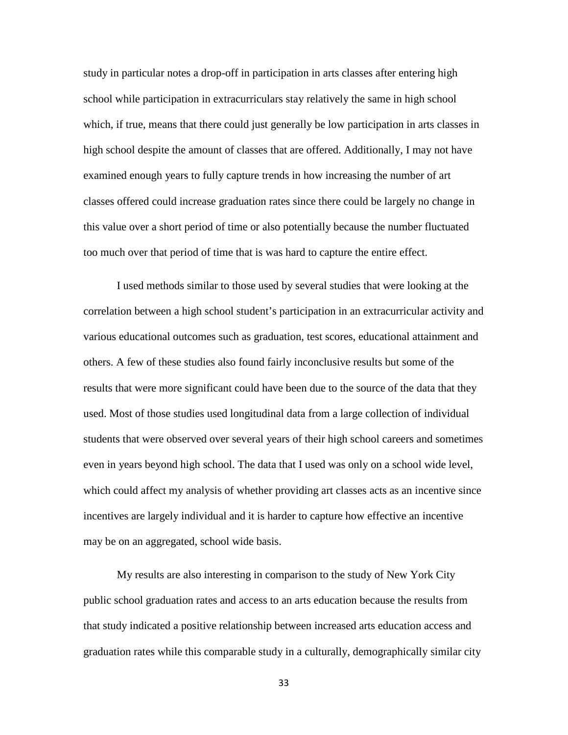study in particular notes a drop-off in participation in arts classes after entering high school while participation in extracurriculars stay relatively the same in high school which, if true, means that there could just generally be low participation in arts classes in high school despite the amount of classes that are offered. Additionally, I may not have examined enough years to fully capture trends in how increasing the number of art classes offered could increase graduation rates since there could be largely no change in this value over a short period of time or also potentially because the number fluctuated too much over that period of time that is was hard to capture the entire effect.

I used methods similar to those used by several studies that were looking at the correlation between a high school student's participation in an extracurricular activity and various educational outcomes such as graduation, test scores, educational attainment and others. A few of these studies also found fairly inconclusive results but some of the results that were more significant could have been due to the source of the data that they used. Most of those studies used longitudinal data from a large collection of individual students that were observed over several years of their high school careers and sometimes even in years beyond high school. The data that I used was only on a school wide level, which could affect my analysis of whether providing art classes acts as an incentive since incentives are largely individual and it is harder to capture how effective an incentive may be on an aggregated, school wide basis.

My results are also interesting in comparison to the study of New York City public school graduation rates and access to an arts education because the results from that study indicated a positive relationship between increased arts education access and graduation rates while this comparable study in a culturally, demographically similar city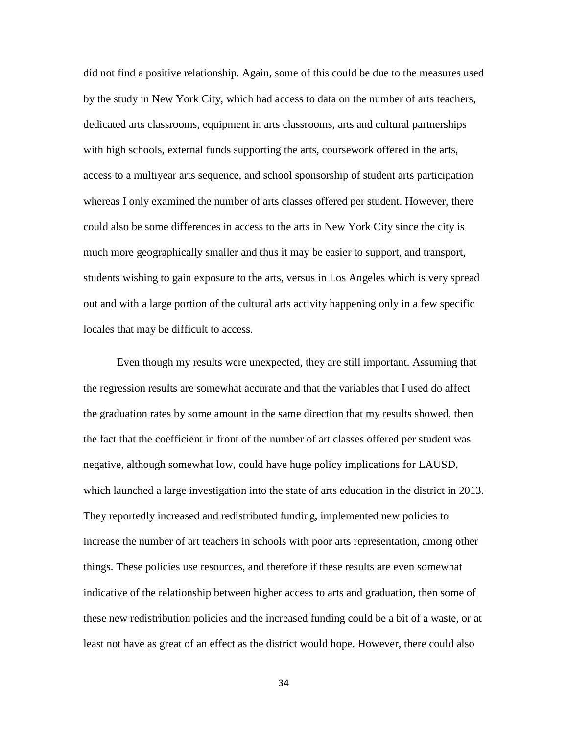did not find a positive relationship. Again, some of this could be due to the measures used by the study in New York City, which had access to data on the number of arts teachers, dedicated arts classrooms, equipment in arts classrooms, arts and cultural partnerships with high schools, external funds supporting the arts, coursework offered in the arts, access to a multiyear arts sequence, and school sponsorship of student arts participation whereas I only examined the number of arts classes offered per student. However, there could also be some differences in access to the arts in New York City since the city is much more geographically smaller and thus it may be easier to support, and transport, students wishing to gain exposure to the arts, versus in Los Angeles which is very spread out and with a large portion of the cultural arts activity happening only in a few specific locales that may be difficult to access.

Even though my results were unexpected, they are still important. Assuming that the regression results are somewhat accurate and that the variables that I used do affect the graduation rates by some amount in the same direction that my results showed, then the fact that the coefficient in front of the number of art classes offered per student was negative, although somewhat low, could have huge policy implications for LAUSD, which launched a large investigation into the state of arts education in the district in 2013. They reportedly increased and redistributed funding, implemented new policies to increase the number of art teachers in schools with poor arts representation, among other things. These policies use resources, and therefore if these results are even somewhat indicative of the relationship between higher access to arts and graduation, then some of these new redistribution policies and the increased funding could be a bit of a waste, or at least not have as great of an effect as the district would hope. However, there could also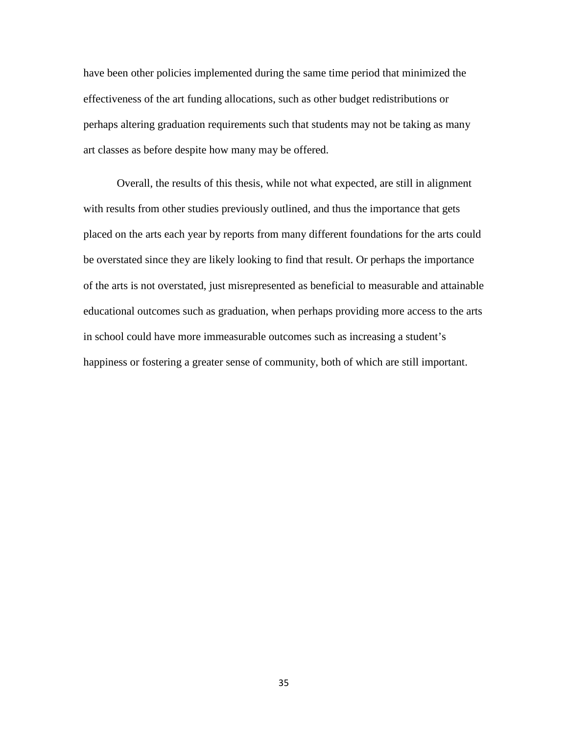have been other policies implemented during the same time period that minimized the effectiveness of the art funding allocations, such as other budget redistributions or perhaps altering graduation requirements such that students may not be taking as many art classes as before despite how many may be offered.

Overall, the results of this thesis, while not what expected, are still in alignment with results from other studies previously outlined, and thus the importance that gets placed on the arts each year by reports from many different foundations for the arts could be overstated since they are likely looking to find that result. Or perhaps the importance of the arts is not overstated, just misrepresented as beneficial to measurable and attainable educational outcomes such as graduation, when perhaps providing more access to the arts in school could have more immeasurable outcomes such as increasing a student's happiness or fostering a greater sense of community, both of which are still important.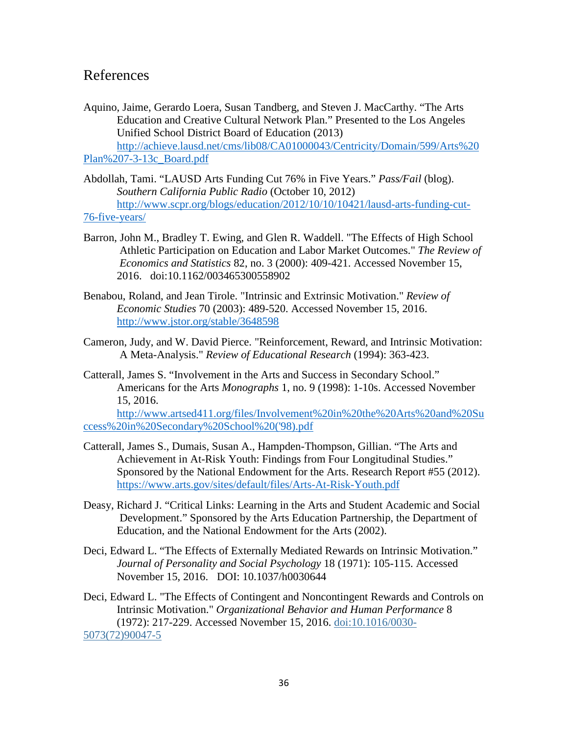### <span id="page-36-0"></span>References

- Aquino, Jaime, Gerardo Loera, Susan Tandberg, and Steven J. MacCarthy. "The Arts Education and Creative Cultural Network Plan." Presented to the Los Angeles Unified School District Board of Education (2013) [http://achieve.lausd.net/cms/lib08/CA01000043/Centricity/Domain/599/Arts%20](http://achieve.lausd.net/cms/lib08/CA01000043/Centricity/Domain/599/Arts%20Plan%207-3-13c_Board.pdf) [Plan%207-3-13c\\_Board.pdf](http://achieve.lausd.net/cms/lib08/CA01000043/Centricity/Domain/599/Arts%20Plan%207-3-13c_Board.pdf)
- Abdollah, Tami. "LAUSD Arts Funding Cut 76% in Five Years." *Pass/Fail* (blog). *Southern California Public Radio* (October 10, 2012) [http://www.scpr.org/blogs/education/2012/10/10/10421/lausd-arts-funding-cut-](http://www.scpr.org/blogs/education/2012/10/10/10421/lausd-arts-funding-cut-76-five-years/)[76-five-years/](http://www.scpr.org/blogs/education/2012/10/10/10421/lausd-arts-funding-cut-76-five-years/)
- Barron, John M., Bradley T. Ewing, and Glen R. Waddell. "The Effects of High School Athletic Participation on Education and Labor Market Outcomes." *The Review of Economics and Statistics* 82, no. 3 (2000): 409-421. Accessed November 15, 2016. doi:10.1162/003465300558902
- Benabou, Roland, and Jean Tirole. "Intrinsic and Extrinsic Motivation." *Review of Economic Studies* 70 (2003): 489-520. Accessed November 15, 2016. <http://www.jstor.org/stable/3648598>
- Cameron, Judy, and W. David Pierce. "Reinforcement, Reward, and Intrinsic Motivation: A Meta-Analysis." *Review of Educational Research* (1994): 363-423.
- Catterall, James S. "Involvement in the Arts and Success in Secondary School." Americans for the Arts *Monographs* 1, no. 9 (1998): 1-10s. Accessed November 15, 2016.

[http://www.artsed411.org/files/Involvement%20in%20the%20Arts%20and%20Su](http://www.artsed411.org/files/Involvement%20in%20the%20Arts%20and%20Success%20in%20Secondary%20School%20() [ccess%20in%20Secondary%20School%20\('98\).pdf](http://www.artsed411.org/files/Involvement%20in%20the%20Arts%20and%20Success%20in%20Secondary%20School%20()

- Catterall, James S., Dumais, Susan A., Hampden-Thompson, Gillian. "The Arts and Achievement in At-Risk Youth: Findings from Four Longitudinal Studies." Sponsored by the National Endowment for the Arts. Research Report #55 (2012). <https://www.arts.gov/sites/default/files/Arts-At-Risk-Youth.pdf>
- Deasy, Richard J. "Critical Links: Learning in the Arts and Student Academic and Social Development." Sponsored by the Arts Education Partnership, the Department of Education, and the National Endowment for the Arts (2002).
- Deci, Edward L. "The Effects of Externally Mediated Rewards on Intrinsic Motivation." *Journal of Personality and Social Psychology* 18 (1971): 105-115. Accessed November 15, 2016. DOI: 10.1037/h0030644

Deci, Edward L. "The Effects of Contingent and Noncontingent Rewards and Controls on Intrinsic Motivation." *Organizational Behavior and Human Performance* 8 (1972): 217-229. Accessed November 15, 2016. [doi:10.1016/0030-](http://dx.doi.org/10.1016/0030-5073(72)90047-5) [5073\(72\)90047-5](http://dx.doi.org/10.1016/0030-5073(72)90047-5)